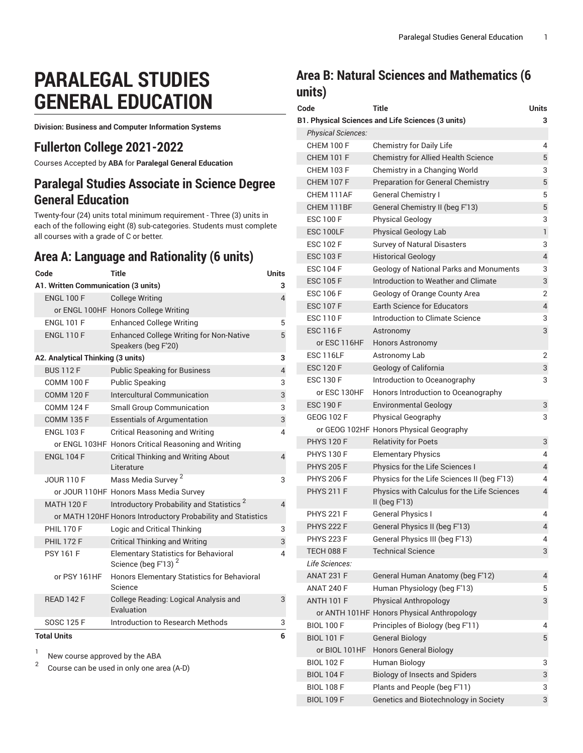# **PARALEGAL STUDIES GENERAL EDUCATION**

**Division: Business and Computer Information Systems**

### **Fullerton College 2021-2022**

Courses Accepted by **ABA** for **Paralegal General Education**

# **Paralegal Studies Associate in Science Degree General Education**

Twenty-four (24) units total minimum requirement - Three (3) units in each of the following eight (8) sub-categories. Students must complete all courses with a grade of C or better.

# **Area A: Language and Rationality (6 units)**

| Code                                | <b>Title</b>                                                                   | <b>Units</b>   |
|-------------------------------------|--------------------------------------------------------------------------------|----------------|
| A1. Written Communication (3 units) |                                                                                | 3              |
| <b>ENGL 100 F</b>                   | <b>College Writing</b>                                                         | 4              |
|                                     | or ENGL 100HF Honors College Writing                                           |                |
| <b>ENGL 101 F</b>                   | <b>Enhanced College Writing</b>                                                | 5              |
| <b>ENGL 110 F</b>                   | <b>Enhanced College Writing for Non-Native</b><br>Speakers (beg F'20)          | 5              |
| A2. Analytical Thinking (3 units)   |                                                                                | 3              |
| <b>BUS 112 F</b>                    | <b>Public Speaking for Business</b>                                            | $\overline{4}$ |
| <b>COMM 100 F</b>                   | <b>Public Speaking</b>                                                         | 3              |
| <b>COMM 120 F</b>                   | Intercultural Communication                                                    | 3              |
| <b>COMM 124 F</b>                   | <b>Small Group Communication</b>                                               | 3              |
| <b>COMM 135 F</b>                   | <b>Essentials of Argumentation</b>                                             | 3              |
| <b>ENGL 103 F</b>                   | <b>Critical Reasoning and Writing</b>                                          | 4              |
|                                     | or ENGL 103HF Honors Critical Reasoning and Writing                            |                |
| <b>ENGL 104 F</b>                   | <b>Critical Thinking and Writing About</b><br>Literature                       | $\overline{4}$ |
| <b>JOUR 110 F</b>                   | Mass Media Survey <sup>2</sup>                                                 | 3              |
|                                     | or JOUR 110HF Honors Mass Media Survey                                         |                |
| <b>MATH 120 F</b>                   | Introductory Probability and Statistics <sup>2</sup>                           | 4              |
|                                     | or MATH 120HF Honors Introductory Probability and Statistics                   |                |
| <b>PHIL 170 F</b>                   | Logic and Critical Thinking                                                    | 3              |
| <b>PHIL 172 F</b>                   | <b>Critical Thinking and Writing</b>                                           | 3              |
| <b>PSY 161 F</b>                    | <b>Elementary Statistics for Behavioral</b><br>Science (beg F'13) <sup>2</sup> | 4              |
| or PSY 161HF                        | Honors Elementary Statistics for Behavioral<br>Science                         |                |
| <b>READ 142 F</b>                   | College Reading: Logical Analysis and<br>Evaluation                            | 3              |
| <b>SOSC 125 F</b>                   | Introduction to Research Methods                                               | 3              |
| <b>Total Units</b>                  |                                                                                | 6              |
|                                     |                                                                                |                |

1 New course approved by the ABA

2 Course can be used in only one area (A-D)

# **Area B: Natural Sciences and Mathematics (6 units)**

| Code                      | <b>Title</b>                                                   | <b>Units</b>   |
|---------------------------|----------------------------------------------------------------|----------------|
|                           | B1. Physical Sciences and Life Sciences (3 units)              | 3              |
| <b>Physical Sciences:</b> |                                                                |                |
| <b>CHEM 100 F</b>         | Chemistry for Daily Life                                       | 4              |
| <b>CHEM 101 F</b>         | <b>Chemistry for Allied Health Science</b>                     | 5              |
| <b>CHEM 103 F</b>         | Chemistry in a Changing World                                  | 3              |
| <b>CHEM 107 F</b>         | <b>Preparation for General Chemistry</b>                       | 5              |
| CHEM 111AF                | <b>General Chemistry I</b>                                     | 5              |
| CHEM 111BF                | General Chemistry II (beg F'13)                                | 5              |
| <b>ESC 100 F</b>          | <b>Physical Geology</b>                                        | 3              |
| ESC 100LF                 | Physical Geology Lab                                           | 1              |
| <b>ESC 102 F</b>          | <b>Survey of Natural Disasters</b>                             | 3              |
| <b>ESC 103 F</b>          | <b>Historical Geology</b>                                      | $\overline{4}$ |
| <b>ESC 104 F</b>          | <b>Geology of National Parks and Monuments</b>                 | 3              |
| <b>ESC 105 F</b>          | Introduction to Weather and Climate                            | 3              |
| <b>ESC 106 F</b>          | Geology of Orange County Area                                  | 2              |
| <b>ESC 107 F</b>          | <b>Earth Science for Educators</b>                             | 4              |
| <b>ESC 110 F</b>          | Introduction to Climate Science                                | 3              |
| <b>ESC 116 F</b>          | Astronomy                                                      | 3              |
| or ESC 116HF              | <b>Honors Astronomy</b>                                        |                |
| <b>ESC 116LF</b>          | Astronomy Lab                                                  | 2              |
| <b>ESC 120 F</b>          | Geology of California                                          | 3              |
| <b>ESC 130 F</b>          | Introduction to Oceanography                                   | 3              |
| or ESC 130HF              | Honors Introduction to Oceanography                            |                |
| <b>ESC 190 F</b>          | <b>Environmental Geology</b>                                   | 3              |
| <b>GEOG 102 F</b>         | <b>Physical Geography</b>                                      | 3              |
|                           | or GEOG 102HF Honors Physical Geography                        |                |
| <b>PHYS 120 F</b>         | <b>Relativity for Poets</b>                                    | 3              |
| <b>PHYS 130 F</b>         | <b>Elementary Physics</b>                                      | 4              |
| <b>PHYS 205 F</b>         | Physics for the Life Sciences I                                | $\overline{4}$ |
| <b>PHYS 206 F</b>         | Physics for the Life Sciences II (beg F'13)                    | 4              |
| <b>PHYS 211 F</b>         | Physics with Calculus for the Life Sciences<br>II (beg $F13$ ) | 4              |
| <b>PHYS 221 F</b>         | General Physics I                                              | 4              |
| <b>PHYS 222 F</b>         | General Physics II (beg F'13)                                  | 4              |
| <b>PHYS 223 F</b>         | General Physics III (beg F'13)                                 | 4              |
| <b>TECH 088 F</b>         | <b>Technical Science</b>                                       | 3              |
| Life Sciences:            |                                                                |                |
| <b>ANAT 231 F</b>         | General Human Anatomy (beg F'12)                               | 4              |
| <b>ANAT 240 F</b>         | Human Physiology (beg F'13)                                    | 5              |
| <b>ANTH 101 F</b>         | <b>Physical Anthropology</b>                                   | 3              |
|                           | or ANTH 101HF Honors Physical Anthropology                     |                |
| <b>BIOL 100 F</b>         | Principles of Biology (beg F'11)                               | 4              |
| <b>BIOL 101 F</b>         | <b>General Biology</b>                                         | 5              |
| or BIOL 101HF             | <b>Honors General Biology</b>                                  |                |
| <b>BIOL 102 F</b>         | Human Biology                                                  | 3              |
| <b>BIOL 104 F</b>         | <b>Biology of Insects and Spiders</b>                          | 3              |
| <b>BIOL 108 F</b>         | Plants and People (beg F'11)                                   | 3              |
| <b>BIOL 109 F</b>         | Genetics and Biotechnology in Society                          | 3              |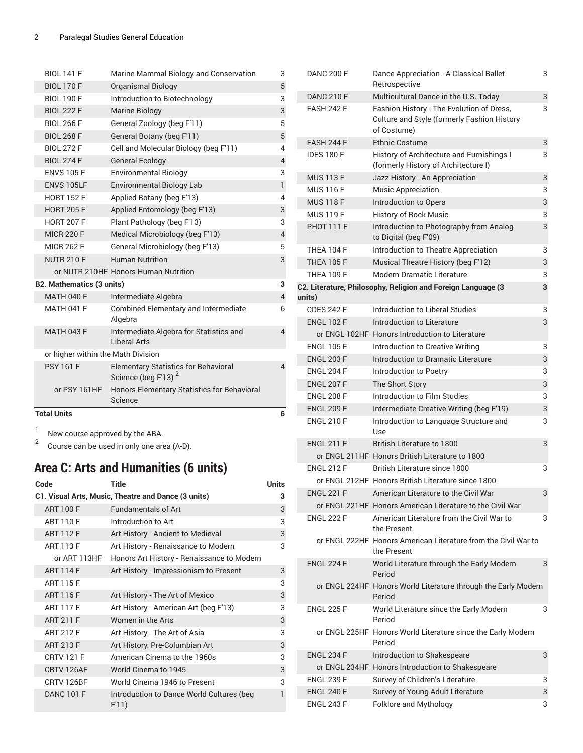| <b>Total Units</b>                 |                                                                                | 6              |
|------------------------------------|--------------------------------------------------------------------------------|----------------|
| or PSY 161HF                       | Honors Elementary Statistics for Behavioral<br>Science                         |                |
| <b>PSY 161 F</b>                   | <b>Elementary Statistics for Behavioral</b><br>Science (beg F'13) <sup>2</sup> | $\overline{4}$ |
| or higher within the Math Division |                                                                                |                |
| <b>MATH 043 F</b>                  | Intermediate Algebra for Statistics and<br>Liberal Arts                        | $\overline{4}$ |
| <b>MATH 041 F</b>                  | <b>Combined Elementary and Intermediate</b><br>Algebra                         | 6              |
| <b>MATH 040 F</b>                  | Intermediate Algebra                                                           | $\overline{4}$ |
| <b>B2. Mathematics (3 units)</b>   |                                                                                | 3              |
|                                    | or NUTR 210HF Honors Human Nutrition                                           |                |
| <b>NUTR 210 F</b>                  | <b>Human Nutrition</b>                                                         | 3              |
| <b>MICR 262 F</b>                  | General Microbiology (beg F'13)                                                | 5              |
| <b>MICR 220 F</b>                  | Medical Microbiology (beg F'13)                                                | $\overline{4}$ |
| <b>HORT 207 F</b>                  | Plant Pathology (beg F'13)                                                     | 3              |
| <b>HORT 205 F</b>                  | Applied Entomology (beg F'13)                                                  | 3              |
| <b>HORT 152 F</b>                  | Applied Botany (beg F'13)                                                      | $\overline{4}$ |
| <b>ENVS 105LF</b>                  | <b>Environmental Biology Lab</b>                                               | $\mathbf{1}$   |
| <b>ENVS 105 F</b>                  | <b>Environmental Biology</b>                                                   | 3              |
| <b>BIOL 274 F</b>                  | <b>General Ecology</b>                                                         | $\overline{4}$ |
| <b>BIOL 272 F</b>                  | Cell and Molecular Biology (beg F'11)                                          | $\overline{4}$ |
| <b>BIOL 268 F</b>                  | General Botany (beg F'11)                                                      | 5              |
| <b>BIOL 266 F</b>                  | General Zoology (beg F'11)                                                     | 5              |
| <b>BIOL 222 F</b>                  | Marine Biology                                                                 | 3              |
| <b>BIOL 190 F</b>                  | Introduction to Biotechnology                                                  | 3              |
| <b>BIOL 170 F</b>                  | <b>Organismal Biology</b>                                                      | 5              |
| <b>BIOL 141 F</b>                  | Marine Mammal Biology and Conservation                                         | 3              |

1 New course approved by the ABA.

2 Course can be used in only one area (A-D).

# **Area C: Arts and Humanities (6 units)**

| Code                                                | <b>Title</b>                                       | <b>Units</b> |  |  |
|-----------------------------------------------------|----------------------------------------------------|--------------|--|--|
| C1. Visual Arts, Music, Theatre and Dance (3 units) |                                                    |              |  |  |
| <b>ART 100 F</b>                                    | <b>Fundamentals of Art</b>                         | 3            |  |  |
| <b>ART 110 F</b>                                    | Introduction to Art                                | 3            |  |  |
| <b>ART 112 F</b>                                    | Art History - Ancient to Medieval                  | 3            |  |  |
| <b>ART 113 F</b>                                    | Art History - Renaissance to Modern                | 3            |  |  |
| or ART 113HF                                        | Honors Art History - Renaissance to Modern         |              |  |  |
| <b>ART 114 F</b>                                    | Art History - Impressionism to Present             | 3            |  |  |
| <b>ART 115 F</b>                                    |                                                    | 3            |  |  |
| <b>ART 116 F</b>                                    | Art History - The Art of Mexico                    | 3            |  |  |
| <b>ART 117 F</b>                                    | Art History - American Art (beg F'13)              | 3            |  |  |
| <b>ART 211 F</b>                                    | Women in the Arts                                  | 3            |  |  |
| <b>ART 212 F</b>                                    | Art History - The Art of Asia                      | 3            |  |  |
| <b>ART 213 F</b>                                    | Art History: Pre-Columbian Art                     | 3            |  |  |
| <b>CRTV 121 F</b>                                   | American Cinema to the 1960s                       | 3            |  |  |
| CRTV 126AF                                          | World Cinema to 1945                               | 3            |  |  |
| CRTV 126BF                                          | World Cinema 1946 to Present                       | 3            |  |  |
| <b>DANC 101 F</b>                                   | Introduction to Dance World Cultures (beg<br>F'11) | 1            |  |  |

| <b>DANC 200 F</b> | Dance Appreciation - A Classical Ballet<br>Retrospective                                                | 3 |
|-------------------|---------------------------------------------------------------------------------------------------------|---|
| <b>DANC 210 F</b> | Multicultural Dance in the U.S. Today                                                                   | 3 |
| <b>FASH 242 F</b> | Fashion History - The Evolution of Dress,<br>Culture and Style (formerly Fashion History<br>of Costume) | 3 |
| <b>FASH 244 F</b> | <b>Ethnic Costume</b>                                                                                   | 3 |
| <b>IDES 180 F</b> | History of Architecture and Furnishings I<br>(formerly History of Architecture I)                       | 3 |
| <b>MUS 113 F</b>  | Jazz History - An Appreciation                                                                          | 3 |
| <b>MUS 116 F</b>  | <b>Music Appreciation</b>                                                                               | 3 |
| <b>MUS 118 F</b>  | Introduction to Opera                                                                                   | 3 |
| <b>MUS 119 F</b>  | <b>History of Rock Music</b>                                                                            | 3 |
| <b>PHOT 111 F</b> | Introduction to Photography from Analog<br>to Digital (beg F'09)                                        | 3 |
| <b>THEA 104 F</b> | Introduction to Theatre Appreciation                                                                    | 3 |
| <b>THEA 105 F</b> | Musical Theatre History (beg F'12)                                                                      | 3 |
| <b>THEA 109 F</b> | Modern Dramatic Literature                                                                              | 3 |
|                   | C2. Literature, Philosophy, Religion and Foreign Language (3                                            | 3 |
| units)            |                                                                                                         |   |
| <b>CDES 242 F</b> | Introduction to Liberal Studies                                                                         | 3 |
| <b>ENGL 102 F</b> | Introduction to Literature                                                                              | 3 |
|                   | or ENGL 102HF Honors Introduction to Literature                                                         |   |
| <b>ENGL 105 F</b> | Introduction to Creative Writing                                                                        | 3 |
| <b>ENGL 203 F</b> | Introduction to Dramatic Literature                                                                     | 3 |
| <b>ENGL 204 F</b> | Introduction to Poetry                                                                                  | 3 |
| <b>ENGL 207 F</b> | The Short Story                                                                                         | 3 |
| <b>ENGL 208 F</b> | Introduction to Film Studies                                                                            | 3 |
| <b>ENGL 209 F</b> | Intermediate Creative Writing (beg F'19)                                                                | 3 |
| <b>ENGL 210 F</b> | Introduction to Language Structure and<br>Use                                                           | 3 |
| <b>ENGL 211 F</b> | British Literature to 1800                                                                              | 3 |
|                   | or ENGL 211HF Honors British Literature to 1800                                                         |   |
| <b>ENGL 212 F</b> | British Literature since 1800                                                                           | 3 |
|                   | or ENGL 212HF Honors British Literature since 1800                                                      |   |
| <b>ENGL 221 F</b> | American Literature to the Civil War                                                                    | 3 |
|                   | or ENGL 221HF Honors American Literature to the Civil War                                               |   |
| <b>ENGL 222 F</b> | American Literature from the Civil War to<br>the Present                                                | 3 |
|                   | or ENGL 222HF Honors American Literature from the Civil War to<br>the Present                           |   |
| <b>ENGL 224 F</b> | World Literature through the Early Modern<br>Period                                                     | 3 |
|                   | or ENGL 224HF Honors World Literature through the Early Modern<br>Period                                |   |
| <b>ENGL 225 F</b> | World Literature since the Early Modern<br>Period                                                       | 3 |
|                   | or ENGL 225HF Honors World Literature since the Early Modern<br>Period                                  |   |
| <b>ENGL 234 F</b> | Introduction to Shakespeare                                                                             | 3 |
|                   | or ENGL 234HF Honors Introduction to Shakespeare                                                        |   |
| <b>ENGL 239 F</b> | Survey of Children's Literature                                                                         | 3 |
| <b>ENGL 240 F</b> | Survey of Young Adult Literature                                                                        | 3 |
| <b>ENGL 243 F</b> | Folklore and Mythology                                                                                  | 3 |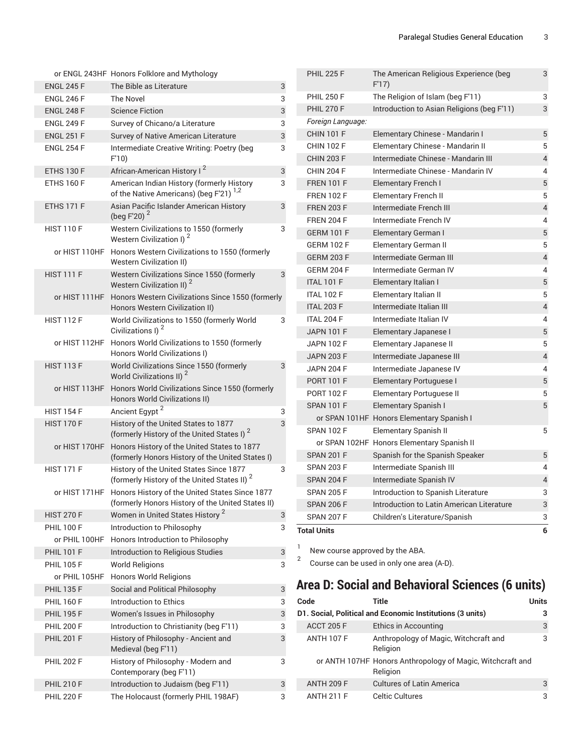|                   | or ENGL 243HF Honors Folklore and Mythology                                                                       |   |
|-------------------|-------------------------------------------------------------------------------------------------------------------|---|
| <b>ENGL 245 F</b> | The Bible as Literature                                                                                           | 3 |
| <b>ENGL 246 F</b> | The Novel                                                                                                         | 3 |
| <b>ENGL 248 F</b> | <b>Science Fiction</b>                                                                                            | 3 |
| <b>ENGL 249 F</b> | Survey of Chicano/a Literature                                                                                    | 3 |
| <b>ENGL 251 F</b> | <b>Survey of Native American Literature</b>                                                                       | 3 |
| <b>ENGL 254 F</b> | Intermediate Creative Writing: Poetry (beg<br>F'10)                                                               | 3 |
| ETHS 130 F        | African-American History I <sup>2</sup>                                                                           | 3 |
| <b>ETHS 160 F</b> | American Indian History (formerly History<br>of the Native Americans) (beg F'21) <sup>1,2</sup>                   | 3 |
| <b>ETHS 171 F</b> | Asian Pacific Islander American History<br>(beg F'20) <sup>2</sup>                                                | 3 |
| <b>HIST 110 F</b> | Western Civilizations to 1550 (formerly<br>Western Civilization I) <sup>2</sup>                                   | 3 |
| or HIST 110HF     | Honors Western Civilizations to 1550 (formerly<br><b>Western Civilization II)</b>                                 |   |
| <b>HIST 111 F</b> | Western Civilizations Since 1550 (formerly<br>Western Civilization II) <sup>2</sup>                               | 3 |
| or HIST 111HF     | Honors Western Civilizations Since 1550 (formerly<br>Honors Western Civilization II)                              |   |
| <b>HIST 112 F</b> | World Civilizations to 1550 (formerly World<br>Civilizations I) <sup>2</sup>                                      | 3 |
| or HIST 112HF     | Honors World Civilizations to 1550 (formerly<br>Honors World Civilizations I)                                     |   |
| <b>HIST 113 F</b> | World Civilizations Since 1550 (formerly<br>World Civilizations II) <sup>2</sup>                                  | 3 |
| or HIST 113HF     | Honors World Civilizations Since 1550 (formerly<br>Honors World Civilizations II)                                 |   |
| <b>HIST 154 F</b> | Ancient Egypt <sup>2</sup>                                                                                        | 3 |
| <b>HIST 170 F</b> | History of the United States to 1877<br>(formerly History of the United States I) <sup>2</sup>                    | 3 |
| or HIST 170HF     | Honors History of the United States to 1877<br>(formerly Honors History of the United States I)                   |   |
| <b>HIST 171 F</b> | History of the United States Since 1877<br>(formerly History of the United States II) <sup>2</sup>                | 3 |
|                   | or HIST 171HF Honors History of the United States Since 1877<br>(formerly Honors History of the United States II) |   |
| <b>HIST 270 F</b> | Women in United States History <sup>2</sup>                                                                       | 3 |
| <b>PHIL 100 F</b> | Introduction to Philosophy                                                                                        | 3 |
| or PHIL 100HF     | Honors Introduction to Philosophy                                                                                 |   |
| <b>PHIL 101 F</b> | Introduction to Religious Studies                                                                                 | 3 |
| <b>PHIL 105 F</b> | <b>World Religions</b>                                                                                            | 3 |
| or PHIL 105HF     | Honors World Religions                                                                                            |   |
| <b>PHIL 135 F</b> | Social and Political Philosophy                                                                                   | 3 |
| <b>PHIL 160 F</b> | Introduction to Ethics                                                                                            | 3 |
| <b>PHIL 195 F</b> | Women's Issues in Philosophy                                                                                      | 3 |
| <b>PHIL 200 F</b> | Introduction to Christianity (beg F'11)                                                                           | 3 |
| <b>PHIL 201 F</b> | History of Philosophy - Ancient and<br>Medieval (beg F'11)                                                        | 3 |
| <b>PHIL 202 F</b> | History of Philosophy - Modern and<br>Contemporary (beg F'11)                                                     | 3 |
| <b>PHIL 210 F</b> | Introduction to Judaism (beg F'11)                                                                                | 3 |
| <b>PHIL 220 F</b> | The Holocaust (formerly PHIL 198AF)                                                                               | 3 |

| <b>PHIL 225 F</b>  | The American Religious Experience (beg<br>F'17 | 3                        |
|--------------------|------------------------------------------------|--------------------------|
| <b>PHIL 250 F</b>  | The Religion of Islam (beg F'11)               | 3                        |
| <b>PHIL 270 F</b>  | Introduction to Asian Religions (beg F'11)     | 3                        |
| Foreign Language:  |                                                |                          |
| <b>CHIN 101 F</b>  | Elementary Chinese - Mandarin I                | 5                        |
| <b>CHIN 102 F</b>  | Elementary Chinese - Mandarin II               | 5                        |
| <b>CHIN 203 F</b>  | Intermediate Chinese - Mandarin III            | $\overline{4}$           |
| <b>CHIN 204 F</b>  | Intermediate Chinese - Mandarin IV             | 4                        |
| <b>FREN 101 F</b>  | <b>Elementary French I</b>                     | 5                        |
| <b>FREN 102 F</b>  | Elementary French II                           | 5                        |
| <b>FREN 203 F</b>  | Intermediate French III                        | 4                        |
| <b>FREN 204 F</b>  | Intermediate French IV                         | 4                        |
| <b>GERM 101 F</b>  | Elementary German I                            | 5                        |
| <b>GERM 102 F</b>  | Elementary German II                           | 5                        |
| <b>GERM 203 F</b>  | Intermediate German III                        | $\overline{\mathcal{L}}$ |
| <b>GERM 204 F</b>  | Intermediate German IV                         | 4                        |
| <b>ITAL 101 F</b>  | Elementary Italian I                           | 5                        |
| <b>ITAL 102 F</b>  | Elementary Italian II                          | 5                        |
| <b>ITAL 203 F</b>  | Intermediate Italian III                       | 4                        |
| ITAL 204 F         | Intermediate Italian IV                        | 4                        |
| <b>JAPN 101 F</b>  | Elementary Japanese I                          | 5                        |
| <b>JAPN 102 F</b>  | Elementary Japanese II                         | 5                        |
| <b>JAPN 203 F</b>  | Intermediate Japanese III                      | $\overline{\mathcal{L}}$ |
| <b>JAPN 204 F</b>  | Intermediate Japanese IV                       | 4                        |
| <b>PORT 101 F</b>  | <b>Elementary Portuguese I</b>                 | 5                        |
| <b>PORT 102 F</b>  | Elementary Portuguese II                       | 5                        |
| <b>SPAN 101 F</b>  | Elementary Spanish I                           | 5                        |
|                    | or SPAN 101HF Honors Elementary Spanish I      |                          |
| <b>SPAN 102 F</b>  | Elementary Spanish II                          | 5                        |
|                    | or SPAN 102HF Honors Elementary Spanish II     |                          |
| <b>SPAN 201 F</b>  | Spanish for the Spanish Speaker                | 5                        |
| <b>SPAN 203 F</b>  | Intermediate Spanish III                       | 4                        |
| <b>SPAN 204 F</b>  | Intermediate Spanish IV                        | $\overline{\mathcal{L}}$ |
| <b>SPAN 205 F</b>  | Introduction to Spanish Literature             | 3                        |
| <b>SPAN 206 F</b>  | Introduction to Latin American Literature      | 3                        |
| <b>SPAN 207 F</b>  | Children's Literature/Spanish                  | 3                        |
| <b>Total Units</b> |                                                | 6                        |

1 New course approved by the ABA.

2 Course can be used in only one area (A-D).

# **Area D: Social and Behavioral Sciences (6 units)**

| Code              | Title                                                                  | Units |
|-------------------|------------------------------------------------------------------------|-------|
|                   | D1. Social, Political and Economic Institutions (3 units)              | 3     |
| <b>ACCT 205 F</b> | Ethics in Accounting                                                   | 3     |
| <b>ANTH 107 F</b> | Anthropology of Magic, Witchcraft and<br>Religion                      | 3     |
|                   | or ANTH 107HF Honors Anthropology of Magic, Witchcraft and<br>Religion |       |
| <b>ANTH 209 F</b> | <b>Cultures of Latin America</b>                                       | 3     |
| <b>ANTH 211 F</b> | <b>Celtic Cultures</b>                                                 | 3     |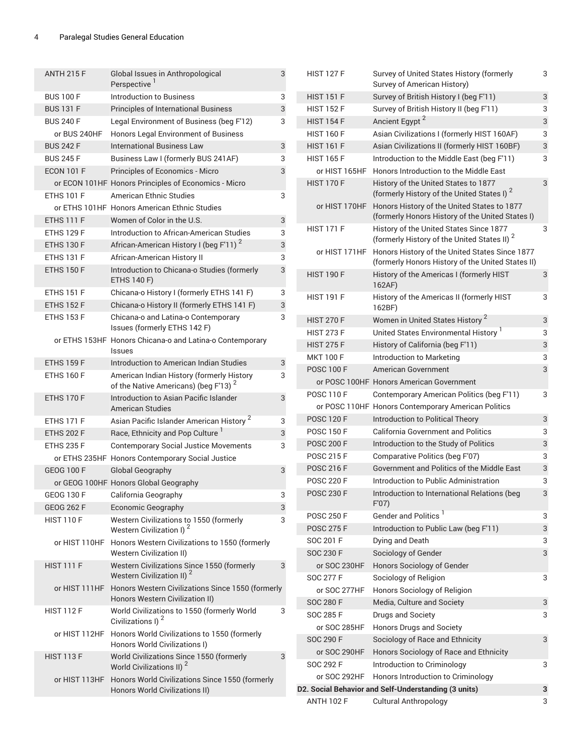| <b>ANTH 215 F</b>                      | Global Issues in Anthropological<br>Perspective 1                                             | 3      | <b>HIST 127 F</b>         | Survey of United States History (formerly<br>Survey of American History)                       | 3                         |
|----------------------------------------|-----------------------------------------------------------------------------------------------|--------|---------------------------|------------------------------------------------------------------------------------------------|---------------------------|
| <b>BUS 100 F</b>                       | <b>Introduction to Business</b>                                                               | 3      | <b>HIST 151 F</b>         | Survey of British History I (beg F'11)                                                         | 3                         |
| <b>BUS 131 F</b>                       | Principles of International Business                                                          | 3      | <b>HIST 152 F</b>         | Survey of British History II (beg F'11)                                                        | 3                         |
| <b>BUS 240 F</b>                       | Legal Environment of Business (beg F'12)                                                      | 3      | <b>HIST 154 F</b>         | Ancient Egypt <sup>2</sup>                                                                     | 3                         |
| or BUS 240HF                           | Honors Legal Environment of Business                                                          |        | <b>HIST 160 F</b>         | Asian Civilizations I (formerly HIST 160AF)                                                    | 3                         |
| <b>BUS 242 F</b>                       | <b>International Business Law</b>                                                             | 3      | <b>HIST 161 F</b>         | Asian Civilizations II (formerly HIST 160BF)                                                   | $\ensuremath{\mathsf{3}}$ |
| <b>BUS 245 F</b>                       | Business Law I (formerly BUS 241AF)                                                           | 3      | <b>HIST 165 F</b>         | Introduction to the Middle East (beg F'11)                                                     | 3                         |
|                                        | Principles of Economics - Micro                                                               | 3      |                           | Honors Introduction to the Middle East                                                         |                           |
| <b>ECON 101 F</b>                      |                                                                                               |        | or HIST 165HF             |                                                                                                |                           |
|                                        | or ECON 101HF Honors Principles of Economics - Micro                                          |        | <b>HIST 170 F</b>         | History of the United States to 1877<br>(formerly History of the United States I) <sup>2</sup> | 3                         |
| <b>ETHS 101 F</b>                      | <b>American Ethnic Studies</b>                                                                | 3      | or HIST 170HF             | Honors History of the United States to 1877                                                    |                           |
|                                        | or ETHS 101HF Honors American Ethnic Studies                                                  |        |                           | (formerly Honors History of the United States I)                                               |                           |
| <b>ETHS 111 F</b>                      | Women of Color in the U.S.                                                                    | 3      | <b>HIST 171 F</b>         | History of the United States Since 1877                                                        | 3                         |
| <b>ETHS 129 F</b>                      | Introduction to African-American Studies                                                      | 3      |                           | (formerly History of the United States II) <sup>2</sup>                                        |                           |
| <b>ETHS 130 F</b>                      | African-American History I (beg F'11) <sup>2</sup>                                            | 3      | or HIST 171HF             | Honors History of the United States Since 1877                                                 |                           |
| <b>ETHS 131 F</b><br><b>ETHS 150 F</b> | African-American History II<br>Introduction to Chicana-o Studies (formerly                    | 3<br>3 |                           | (formerly Honors History of the United States II)                                              |                           |
|                                        | <b>ETHS 140 F)</b>                                                                            |        | <b>HIST 190 F</b>         | History of the Americas I (formerly HIST<br>162AF)                                             | 3                         |
| <b>ETHS 151 F</b>                      | Chicana-o History I (formerly ETHS 141 F)                                                     | 3      | <b>HIST 191 F</b>         | History of the Americas II (formerly HIST                                                      | 3                         |
| <b>ETHS 152 F</b>                      | Chicana-o History II (formerly ETHS 141 F)                                                    | 3      |                           | 162BF)                                                                                         |                           |
| <b>ETHS 153 F</b>                      | Chicana-o and Latina-o Contemporary                                                           | 3      | <b>HIST 270 F</b>         | Women in United States History <sup>2</sup>                                                    | 3                         |
|                                        | Issues (formerly ETHS 142 F)                                                                  |        | <b>HIST 273 F</b>         | United States Environmental History                                                            | 3                         |
|                                        | or ETHS 153HF Honors Chicana-o and Latina-o Contemporary                                      |        | <b>HIST 275 F</b>         | History of California (beg F'11)                                                               | 3                         |
|                                        | <b>Issues</b>                                                                                 |        | <b>MKT 100 F</b>          | Introduction to Marketing                                                                      | 3                         |
| <b>ETHS 159 F</b>                      | Introduction to American Indian Studies                                                       | 3      | <b>POSC 100 F</b>         | American Government                                                                            | 3                         |
| <b>ETHS 160 F</b>                      | American Indian History (formerly History<br>of the Native Americans) (beg F'13) <sup>2</sup> | 3      |                           | or POSC 100HF Honors American Government                                                       |                           |
| <b>ETHS 170 F</b>                      | Introduction to Asian Pacific Islander                                                        | 3      | <b>POSC 110 F</b>         | Contemporary American Politics (beg F'11)                                                      | 3                         |
|                                        | <b>American Studies</b>                                                                       |        |                           | or POSC 110HF Honors Contemporary American Politics                                            |                           |
| <b>ETHS 171 F</b>                      | Asian Pacific Islander American History <sup>2</sup>                                          | 3      | <b>POSC 120 F</b>         | Introduction to Political Theory                                                               | 3                         |
| <b>ETHS 202 F</b>                      | Race, Ethnicity and Pop Culture <sup>1</sup>                                                  | 3      | <b>POSC 150 F</b>         | <b>California Government and Politics</b>                                                      | 3                         |
| <b>ETHS 235 F</b>                      | <b>Contemporary Social Justice Movements</b>                                                  | 3      | <b>POSC 200 F</b>         | Introduction to the Study of Politics                                                          | 3                         |
|                                        | or ETHS 235HF Honors Contemporary Social Justice                                              |        | <b>POSC 215 F</b>         | Comparative Politics (beg F'07)                                                                | 3                         |
| <b>GEOG 100 F</b>                      | Global Geography                                                                              | 3      | <b>POSC 216 F</b>         | Government and Politics of the Middle East                                                     | 3                         |
|                                        | or GEOG 100HF Honors Global Geography                                                         |        | <b>POSC 220 F</b>         | Introduction to Public Administration                                                          | 3                         |
| <b>GEOG 130 F</b>                      | California Geography                                                                          | 3      | <b>POSC 230 F</b>         | Introduction to International Relations (beg<br>F'07                                           | 3                         |
| <b>GEOG 262 F</b>                      | Economic Geography                                                                            | 3      | <b>POSC 250 F</b>         | Gender and Politics <sup>1</sup>                                                               | 3                         |
| <b>HIST 110 F</b>                      | Western Civilizations to 1550 (formerly                                                       | 3      |                           |                                                                                                |                           |
|                                        | Western Civilization I) <sup>2</sup>                                                          |        | <b>POSC 275 F</b>         | Introduction to Public Law (beg F'11)                                                          | 3                         |
| or HIST 110HF                          | Honors Western Civilizations to 1550 (formerly                                                |        | SOC 201 F                 | Dying and Death                                                                                | 3                         |
|                                        | <b>Western Civilization II)</b>                                                               |        | <b>SOC 230 F</b>          | Sociology of Gender                                                                            | 3                         |
| <b>HIST 111 F</b>                      | Western Civilizations Since 1550 (formerly<br>Western Civilization II) <sup>2</sup>           | 3      | or SOC 230HF              | Honors Sociology of Gender                                                                     |                           |
| or HIST 111HF                          | Honors Western Civilizations Since 1550 (formerly                                             |        | <b>SOC 277 F</b>          | Sociology of Religion                                                                          | 3                         |
|                                        | Honors Western Civilization II)                                                               |        | or SOC 277HF              | Honors Sociology of Religion                                                                   |                           |
| <b>HIST 112 F</b>                      | World Civilizations to 1550 (formerly World                                                   | 3      | <b>SOC 280 F</b>          | Media, Culture and Society                                                                     | 3                         |
|                                        | Civilizations I) <sup>2</sup>                                                                 |        | SOC 285 F<br>or SOC 285HF | Drugs and Society<br>Honors Drugs and Society                                                  | 3                         |
| or HIST 112HF                          | Honors World Civilizations to 1550 (formerly                                                  |        | <b>SOC 290 F</b>          | Sociology of Race and Ethnicity                                                                | 3                         |
| <b>HIST 113 F</b>                      | Honors World Civilizations I)<br>World Civilizations Since 1550 (formerly                     | 3      | or SOC 290HF              | Honors Sociology of Race and Ethnicity                                                         |                           |
|                                        | World Civilizations II) <sup>2</sup>                                                          |        | SOC 292 F                 | Introduction to Criminology                                                                    | 3                         |
| or HIST 113HF                          | Honors World Civilizations Since 1550 (formerly                                               |        | or SOC 292HF              | Honors Introduction to Criminology                                                             |                           |
|                                        | Honors World Civilizations II)                                                                |        |                           | D2. Social Behavior and Self-Understanding (3 units)                                           | 3                         |
|                                        |                                                                                               |        | <b>ANTH 102 F</b>         | <b>Cultural Anthropology</b>                                                                   | 3                         |